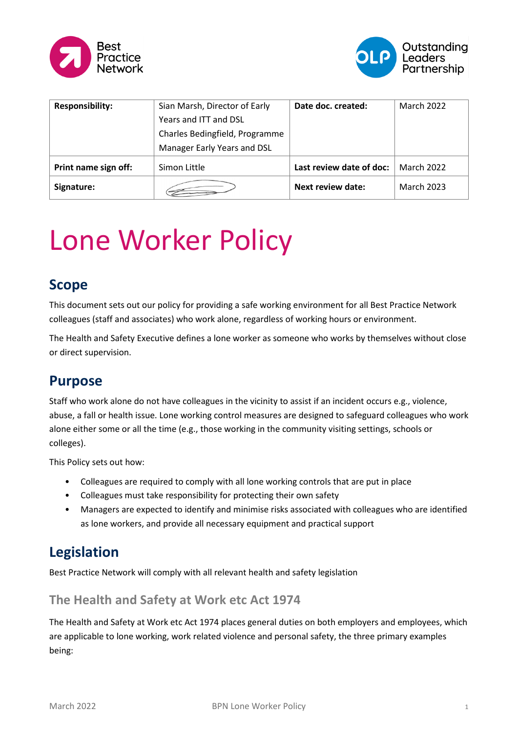



| <b>Responsibility:</b> | Sian Marsh, Director of Early  | Date doc. created:       | <b>March 2022</b> |
|------------------------|--------------------------------|--------------------------|-------------------|
|                        | Years and ITT and DSL          |                          |                   |
|                        | Charles Bedingfield, Programme |                          |                   |
|                        | Manager Early Years and DSL    |                          |                   |
| Print name sign off:   | Simon Little                   | Last review date of doc: | <b>March 2022</b> |
| Signature:             |                                | Next review date:        | <b>March 2023</b> |

# Lone Worker Policy

#### **Scope**

This document sets out our policy for providing a safe working environment for all Best Practice Network colleagues (staff and associates) who work alone, regardless of working hours or environment.

The Health and Safety Executive defines a lone worker as someone who works by themselves without close or direct supervision.

#### **Purpose**

Staff who work alone do not have colleagues in the vicinity to assist if an incident occurs e.g., violence, abuse, a fall or health issue. Lone working control measures are designed to safeguard colleagues who work alone either some or all the time (e.g., those working in the community visiting settings, schools or colleges).

This Policy sets out how:

- Colleagues are required to comply with all lone working controls that are put in place
- Colleagues must take responsibility for protecting their own safety
- Managers are expected to identify and minimise risks associated with colleagues who are identified as lone workers, and provide all necessary equipment and practical support

# **Legislation**

Best Practice Network will comply with all relevant health and safety legislation

#### **The Health and Safety at Work etc Act 1974**

The Health and Safety at Work etc Act 1974 places general duties on both employers and employees, which are applicable to lone working, work related violence and personal safety, the three primary examples being: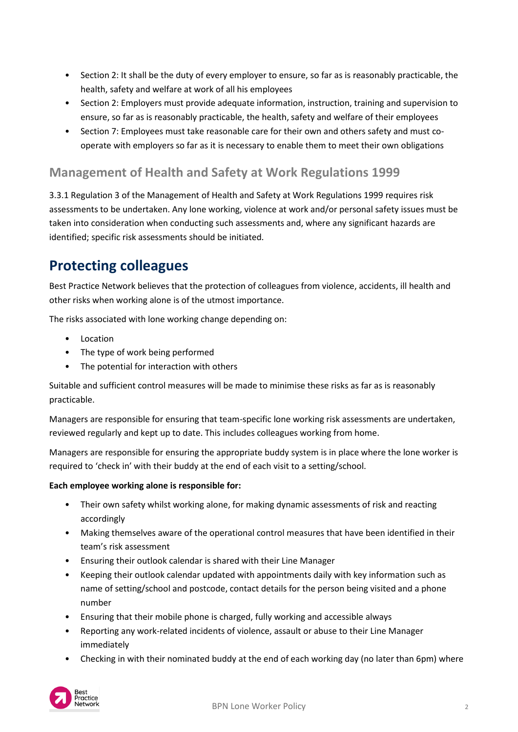- Section 2: It shall be the duty of every employer to ensure, so far as is reasonably practicable, the health, safety and welfare at work of all his employees
- Section 2: Employers must provide adequate information, instruction, training and supervision to ensure, so far as is reasonably practicable, the health, safety and welfare of their employees
- Section 7: Employees must take reasonable care for their own and others safety and must cooperate with employers so far as it is necessary to enable them to meet their own obligations

#### **Management of Health and Safety at Work Regulations 1999**

3.3.1 Regulation 3 of the Management of Health and Safety at Work Regulations 1999 requires risk assessments to be undertaken. Any lone working, violence at work and/or personal safety issues must be taken into consideration when conducting such assessments and, where any significant hazards are identified; specific risk assessments should be initiated.

### **Protecting colleagues**

Best Practice Network believes that the protection of colleagues from violence, accidents, ill health and other risks when working alone is of the utmost importance.

The risks associated with lone working change depending on:

- Location
- The type of work being performed
- The potential for interaction with others

Suitable and sufficient control measures will be made to minimise these risks as far as is reasonably practicable.

Managers are responsible for ensuring that team-specific lone working risk assessments are undertaken, reviewed regularly and kept up to date. This includes colleagues working from home.

Managers are responsible for ensuring the appropriate buddy system is in place where the lone worker is required to 'check in' with their buddy at the end of each visit to a setting/school.

#### **Each employee working alone is responsible for:**

- Their own safety whilst working alone, for making dynamic assessments of risk and reacting accordingly
- Making themselves aware of the operational control measures that have been identified in their team's risk assessment
- Ensuring their outlook calendar is shared with their Line Manager
- Keeping their outlook calendar updated with appointments daily with key information such as name of setting/school and postcode, contact details for the person being visited and a phone number
- Ensuring that their mobile phone is charged, fully working and accessible always
- Reporting any work-related incidents of violence, assault or abuse to their Line Manager immediately
- Checking in with their nominated buddy at the end of each working day (no later than 6pm) where